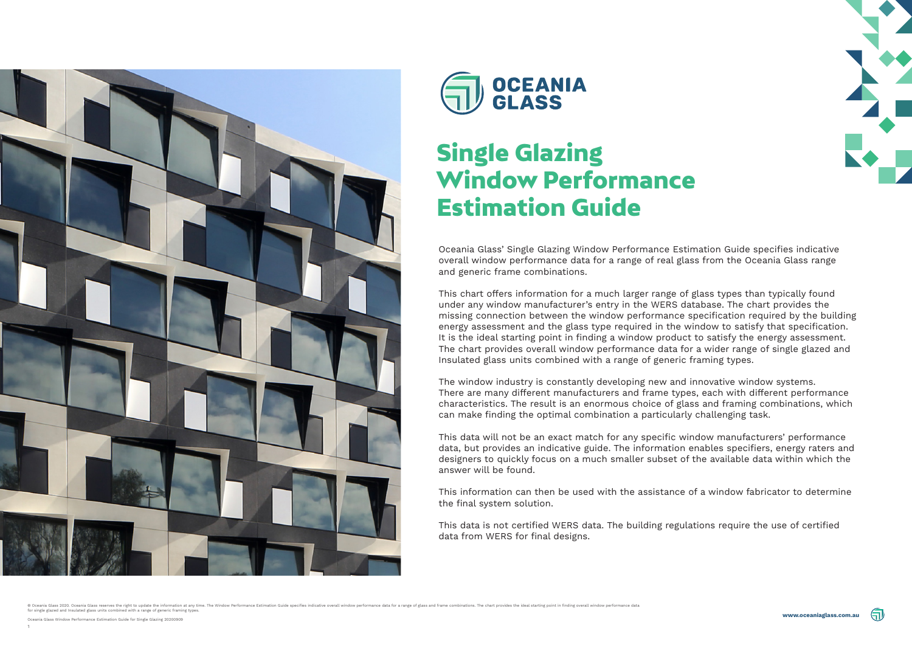





Oceania Glass' Single Glazing Window Performance Estimation Guide specifies indicative overall window performance data for a range of real glass from the Oceania Glass range and generic frame combinations.

This chart offers information for a much larger range of glass types than typically found under any window manufacturer's entry in the WERS database. The chart provides the missing connection between the window performance specification required by the building energy assessment and the glass type required in the window to satisfy that specification. It is the ideal starting point in finding a window product to satisfy the energy assessment. The chart provides overall window performance data for a wider range of single glazed and Insulated glass units combined with a range of generic framing types.

The window industry is constantly developing new and innovative window systems. There are many different manufacturers and frame types, each with different performance characteristics. The result is an enormous choice of glass and framing combinations, which can make finding the optimal combination a particularly challenging task.

This data will not be an exact match for any specific window manufacturers' performance data, but provides an indicative guide. The information enables specifiers, energy raters and designers to quickly focus on a much smaller subset of the available data within which the answer will be found.

This information can then be used with the assistance of a window fabricator to determine the final system solution.

This data is not certified WERS data. The building regulations require the use of certified data from WERS for final designs.

© Oceania Glass 2020. Oceania Glass reserves the right to update the information at any time. The Window Performance Estimation Guide specifies indicative overall window performance data for a range of glass and frame comb





# Single Glazing Window Performance Estimation Guide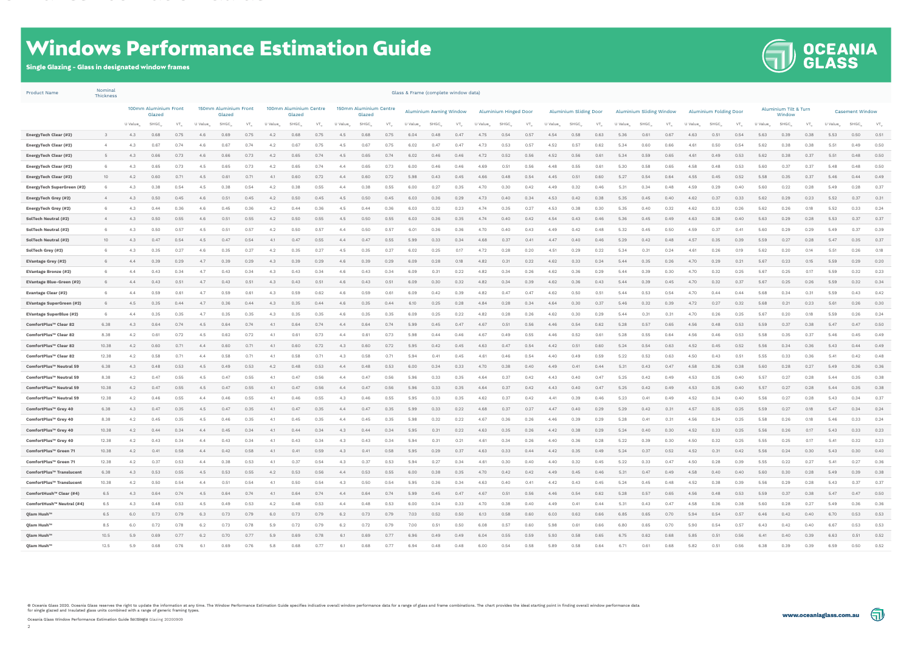



# Windows Performance Estimation Guide

#### Single Glazing - Glass in designated window frames

| <b>Product Name</b>             | Nominal<br><b>Thickness</b> |                      |                                 |               |                                 |       |                        |                                  |      |                          |                                  |      |                        |                         | Glass & Frame (complete window data) |      |                              |       |      |                               |        |      |                          |       |      |                        |        |      |                     |                                 |      |         |                        |                   |
|---------------------------------|-----------------------------|----------------------|---------------------------------|---------------|---------------------------------|-------|------------------------|----------------------------------|------|--------------------------|----------------------------------|------|------------------------|-------------------------|--------------------------------------|------|------------------------------|-------|------|-------------------------------|--------|------|--------------------------|-------|------|------------------------|--------|------|---------------------|---------------------------------|------|---------|------------------------|-------------------|
|                                 |                             |                      | 100mm Aluminium Front<br>Glazed |               | 150mm Aluminium Front<br>Glazed |       |                        | 100mm Aluminium Centre<br>Glazed |      |                          | 150mm Aluminium Centre<br>Glazed |      |                        | Aluminium Awning Window |                                      |      | <b>Aluminium Hinged Door</b> |       |      | <b>Aluminium Sliding Door</b> |        |      | Aluminium Sliding Window |       |      | Aluminium Folding Door |        |      |                     | Aluminium Tilt & Turn<br>Window |      |         | <b>Casement Window</b> |                   |
|                                 |                             | U Value <sub>w</sub> | SHGC <sub>w</sub>               | $VT_{\omega}$ | U Value <sub></sub>             | SHGC_ | $VT_{\cdot\cdot\cdot}$ | U Value <sub></sub>              | SHGC | $VT_{\cdot \cdot \cdot}$ | U Value <sub></sub>              | SHGC | $VT_{\cdot\cdot\cdot}$ | U Value…                | SHGC_                                | VT., | U Value                      | SHGC_ | VT., | U Value                       | SHGC w | VT., | U Value                  | SHGC_ | VT., | U Value <sub></sub>    | SHGC w | VT., | U Value <sub></sub> | SHGC                            | VT.  | U Value | SHGC …                 | $VT_{\mathsf{w}}$ |
| <b>EnergyTech Clear (#2)</b>    | 3                           | 4.3                  | 0.68                            | 0.75          | 4.6                             | 0.69  | 0.75                   | 4.2                              | 0.68 | 0.75                     | 4.5                              | 0.68 | 0.75                   | 6.04                    | 0.48                                 | 0.47 | 4.75                         | 0.54  | 0.57 | 4.54                          | 0.58   | 0.63 | 5.36                     | 0.61  | 0.67 | 4.63                   | 0.51   | 0.54 | 5.63                | 0.39                            | 0.38 | 5.53    | 0.50                   | 0.51              |
| <b>EnergyTech Clear (#2)</b>    | 4                           | 4.3                  | 0.67                            | 0.74          | 4.6                             | 0.67  | 0.74                   | 4.2                              | 0.67 | 0.75                     | 4.5                              | 0.67 | 0.75                   | 6.02                    | 0.47                                 | 0.47 | 4.73                         | 0.53  | 0.57 | 4.52                          | 0.57   | 0.62 | 5.34                     | 0.60  | 0.66 | 4.61                   | 0.50   | 0.54 | 5.62                | 0.38                            | 0.38 | 5.51    | 0.49                   | 0.50              |
| <b>EnergyTech Clear (#2)</b>    | - 5                         | 4.3                  | 0.66                            | 0.73          | 4.6                             | 0.66  | 0.73                   | 4.2                              | 0.65 | 0.74                     | 4.5                              | 0.65 | 0.74                   | 6.02                    | 0.46                                 | 0.46 | 4.72                         | 0.52  | 0.56 | 4.52                          | 0.56   | 0.61 | 5.34                     | 0.59  | 0.65 | 4.61                   | 0.49   | 0.53 | 5.62                | 0.38                            | 0.37 | 5.51    | 0.48                   | 0.50              |
| EnergyTech Clear (#2)           |                             | 4.3                  | 0.65                            | 0.73          | 4.5                             | 0.65  | 0.73                   | 4.2                              | 0.65 | 0.74                     | 4.4                              | 0.65 | 0.73                   | 6.00                    | 0.46                                 | 0.46 | 4.69                         | 0.51  | 0.56 | 4.48                          | 0.55   | 0.61 | 5.30                     | 0.58  | 0.65 | 4.58                   | 0.48   | 0.53 | 5.60                | 0.37                            | 0.37 | 5.48    | 0.48                   | 0.50              |
| <b>EnergyTech Clear (#2)</b>    | 10                          | 4.2                  | 0.60                            | 0.71          | 4.5                             | 0.61  | 0.71                   | 4.1                              | 0.60 | 0.72                     | 4.4                              | 0.60 | 0.72                   | 5.98                    | 0.43                                 | 0.45 | 4.66                         | 0.48  | 0.54 | 4.45                          | 0.51   | 0.60 | 5.27                     | 0.54  | 0.64 | 4.55                   | 0.45   | 0.52 | 5.58                | 0.35                            | 0.37 | 5.46    | 0.44                   | 0.49              |
| EnergyTech SuperGreen (#2)      |                             | 4.3                  | 0.38                            | 0.54          | 4.5                             | 0.38  | 0.54                   | 4.2                              | 0.38 | 0.55                     | 4.4                              | 0.38 | 0.55                   | 6.00                    | 0.27                                 | 0.35 | 4.70                         | 0.30  | 0.42 | 4.49                          | 0.32   | 0.46 | 5.31                     | 0.34  | 0.48 | 4.59                   | 0.29   | 0.40 | 5.60                | 0.22                            | 0.28 | 5.49    | 0.28                   | 0.37              |
| <b>EnergyTech Grey (#2)</b>     | $\overline{4}$              | 4.3                  | 0.50                            | 0.45          | 4.6                             | 0.51  | 0.45                   | 4.2                              | 0.50 | 0.45                     | 4.5                              | 0.50 | 0.45                   | 6.03                    | 0.36                                 | 0.29 | 4.73                         | 0.40  | 0.34 | 4.53                          | 0.42   | 0.38 | 5.35                     | 0.45  | 0.40 | 4.62                   | 0.37   | 0.33 | 5.62                | 0.29                            | 0.23 | 5.52    | 0.37                   | 0.31              |
| <b>EnergyTech Grey (#2)</b>     |                             | 4.3                  | 0.44                            | 0.36          | 4.6                             | 0.45  | 0.36                   | 4.2                              | 0.44 | 0.36                     | 4.5                              | 0.44 | 0.36                   | 6.03                    | 0.32                                 | 0.23 | 4.74                         | 0.35  | 0.27 | 4.53                          | 0.38   | 0.30 | 5.35                     | 0.40  | 0.32 | 4.62                   | 0.33   | 0.26 | 5.62                | 0.26                            | 0.18 | 5.52    | 0.33                   | 0.24              |
| <b>SolTech Neutral (#2)</b>     | $\overline{4}$              | 4.3                  | 0.50                            | 0.55          | 4.6                             | 0.51  | 0.55                   | 4.2                              | 0.50 | 0.55                     | 4.5                              | 0.50 | 0.55                   | 6.03                    | 0.36                                 | 0.35 | 4.74                         | 0.40  | 0.42 | 4.54                          | 0.43   | 0.46 | 5.36                     | 0.45  | 0.49 | 4.63                   | 0.38   | 0.40 | 5.63                | 0.29                            | 0.28 | 5.53    | 0.37                   | 0.37              |
| <b>SolTech Neutral (#2)</b>     |                             | 4.3                  | 0.50                            | 0.57          | 4.5                             | 0.51  | 0.57                   | 4.2                              | 0.50 | 0.57                     | 4.4                              | 0.50 | 0.57                   | 6.01                    | 0.36                                 | 0.36 | 4.70                         | 0.40  | 0.43 | 4.49                          | 0.42   | 0.48 | 5.32                     | 0.45  | 0.50 | 4.59                   | 0.37   | 0.41 | 5.60                | 0.29                            | 0.29 | 5.49    | 0.37                   | 0.39              |
| <b>SolTech Neutral (#2)</b>     | 10                          | 4.3                  | 0.47                            | 0.54          | 4.5                             | 0.47  | 0.54                   | 4.1                              | 0.47 | 0.55                     | 4.4                              | 0.47 | 0.55                   | 5.99                    | 0.33                                 | 0.34 | 4.68                         | 0.37  | 0.41 | 4.47                          | 0.40   | 0.46 | 5.29                     | 0.42  | 0.48 | 4.57                   | 0.35   | 0.39 | 5.59                | 0.27                            | 0.28 | 5.47    | 0.35                   | 0.37              |
| SolTech Grey (#2)               | - 6                         | 4.3                  | 0.35                            | 0.27          | 4.6                             | 0.35  | 0.27                   | 4.2                              | 0.35 | 0.27                     | 4.5                              | 0.35 | 0.27                   | 6.02                    | 0.25                                 | 0.17 | 4.72                         | 0.28  | 0.20 | 4.51                          | 0.29   | 0.22 | 5.34                     | 0.31  | 0.24 | 4.61                   | 0.26   | 0.19 | 5.62                | 0.20                            | 0.14 | 5.51    | 0.26                   | 0.18              |
| <b>EVantage Grey (#2)</b>       | - 6                         | 4.4                  | 0.39                            | 0.29          | 4.7                             | 0.39  | 0.29                   | 4.3                              | 0.39 | 0.29                     | 4.6                              | 0.39 | 0.29                   | 6.09                    | 0.28                                 | 0.18 | 4.82                         | 0.31  | 0.22 | 4.62                          | 0.33   | 0.24 | 5.44                     | 0.35  | 0.26 | 4.70                   | 0.29   | 0.21 | 5.67                | 0.23                            | 0.15 | 5.59    | 0.29                   | 0.20              |
| <b>EVantage Bronze (#2)</b>     |                             | 4.4                  | 0.43                            | 0.34          | 4.7                             | 0.43  | 0.34                   | 4.3                              | 0.43 | 0.34                     | 4.6                              | 0.43 | 0.34                   | 6.09                    | 0.31                                 | 0.22 | 4.82                         | 0.34  | 0.26 | 4.62                          | 0.36   | 0.29 | 5.44                     | 0.39  | 0.30 | 4.70                   | 0.32   | 0.25 | 5.67                | 0.25                            | 0.17 | 5.59    | 0.32                   | 0.23              |
| <b>EVantage Blue-Green (#2)</b> |                             | 4.4                  | 0.43                            | 0.51          | 4.7                             | 0.43  | 0.51                   | 4.3                              | 0.43 | 0.51                     | 4.6                              | 0.43 | 0.51                   | 6.09                    | 0.30                                 | 0.32 | 4.82                         | 0.34  | 0.39 | 4.62                          | 0.36   | 0.43 | 5.44                     | 0.39  | 0.45 | 4.70                   | 0.32   | 0.37 | 5.67                | 0.25                            | 0.26 | 5.59    | 0.32                   | 0.34              |
| <b>Evantage Clear (#2)</b>      |                             | 4.4                  | 0.59                            | 0.61          | 4.7                             | 0.59  | 0.61                   | 4.3                              | 0.59 | 0.62                     | 4.6                              | 0.59 | 0.61                   | 6.09                    | 0.42                                 | 0.39 | 4.82                         | 0.47  | 0.47 | 4.62                          | 0.50   | 0.51 | 5.44                     | 0.53  | 0.54 | 4.70                   | 0.44   | 0.44 | 5.68                | 0.34                            | 0.31 | 5.59    | 0.43                   | 0.42              |
| <b>EVantage SuperGreen (#2)</b> |                             | 4.5                  | 0.35                            | 0.44          | 4.7                             | 0.36  | 0.44                   | 4.3                              | 0.35 | 0.44                     | 4.6                              | 0.35 | 0.44                   | 6.10                    | 0.25                                 | 0.28 | 4.84                         | 0.28  | 0.34 | 4.64                          | 0.30   | 0.37 | 5.46                     | 0.32  | 0.39 | 4.72                   | 0.27   | 0.32 | 5.68                | 0.21                            | 0.23 | 5.61    | 0.26                   | 0.30              |
| <b>EVantage SuperBlue (#2)</b>  |                             | 4.4                  | 0.35                            | 0.35          | 4.7                             | 0.35  | 0.35                   | 4.3                              | 0.35 | 0.35                     | 4.6                              | 0.35 | 0.35                   | 6.09                    | 0.25                                 | 0.22 | 4.82                         | 0.28  | 0.26 | 4.62                          | 0.30   | 0.29 | 5.44                     | 0.31  | 0.31 | 4.70                   | 0.26   | 0.25 | 5.67                | 0.20                            | 0.18 | 5.59    | 0.26                   | 0.24              |
| ComfortPlus™ Clear 82           | 6.38                        | 4.3                  | 0.64                            | 0.74          | 4.5                             | 0.64  | 0.74                   | -4.1                             | 0.64 | 0.74                     | 4.4                              | 0.64 | 0.74                   | 5.99                    | 0.45                                 | 0.47 | 4.67                         | 0.51  | 0.56 | 4.46                          | 0.54   | 0.62 | 5.28                     | 0.57  | 0.65 | 4.56                   | 0.48   | 0.53 | 5.59                | 0.37                            | 0.38 | 5.47    | 0.47                   | 0.50              |
| ComfortPlus™ Clear 82           | 8.38                        | 4.2                  | 0.61                            | 0.72          | 4.5                             | 0.62  | 0.72                   | 4.1                              | 0.61 | 0.73                     | 4.4                              | 0.61 | 0.73                   | 5.98                    | 0.44                                 | 0.46 | 4.67                         | 0.49  | 0.55 | 4.46                          | 0.52   | 0.61 | 5.28                     | 0.55  | 0.64 | 4.56                   | 0.46   | 0.53 | 5.58                | 0.35                            | 0.37 | 5.46    | 0.45                   | 0.49              |
| ComfortPlus™ Clear 82           | 10.38                       | 4.2                  | 0.60                            | 0.71          | 4.4                             | 0.60  | 0.71                   | 4.1                              | 0.60 | 0.72                     | 4.3                              | 0.60 | 0.72                   | 5.95                    | 0.42                                 | 0.45 | 4.63                         | 0.47  | 0.54 | 4.42                          | 0.51   | 0.60 | 5.24                     | 0.54  | 0.63 | 4.52                   | 0.45   | 0.52 | 5.56                | 0.34                            | 0.36 | 5.43    | 0.44                   | 0.49              |
| ComfortPlus™ Clear 82           | 12.38                       | 4.2                  | 0.58                            | 0.71          | 4.4                             | 0.58  | 0.71                   | 4.1                              | 0.58 | 0.71                     | 4.3                              | 0.58 | 0.71                   | 5.94                    | 0.41                                 | 0.45 | 4.61                         | 0.46  | 0.54 | 4.40                          | 0.49   | 0.59 | 5.22                     | 0.52  | 0.63 | 4.50                   | 0.43   | 0.51 | 5.55                | 0.33                            | 0.36 | 5.41    | 0.42                   | 0.48              |
| ComfortPlus™ Neutral 59         | 6.38                        | 4.3                  | 0.48                            | 0.53          | 4.5                             | 0.49  | 0.53                   | 4.2                              | 0.48 | 0.53                     | 4.4                              | 0.48 | 0.53                   | 6.00                    | 0.34                                 | 0.33 | 4.70                         | 0.38  | 0.40 | 4.49                          | 0.41   | 0.44 | 5.31                     | 0.43  | 0.47 | 4.58                   | 0.36   | 0.38 | 5.60                | 0.28                            | 0.27 | 5.49    | 0.36                   | 0.36              |
| ComfortPlus™ Neutral 59         | 8.38                        | 4.2                  | 0.47                            | 0.55          | 4.5                             | 0.47  | 0.55                   | -4.1                             | 0.47 | 0.56                     | 4.4                              | 0.47 | 0.56                   | 5.96                    | 0.33                                 | 0.35 | 4.64                         | 0.37  | 0.42 | 4.43                          | 0.40   | 0.47 | 5.25                     | 0.42  | 0.49 | 4.53                   | 0.35   | 0.40 | 5.57                | 0.27                            | 0.28 | 5.44    | 0.35                   | 0.38              |
| ComfortPlus™ Neutral 59         | 10.38                       | 4.2                  | 0.47                            | 0.55          | 4.5                             | 0.47  | 0.55                   | 4.1                              | 0.47 | 0.56                     | 4.4                              | 0.47 | 0.56                   | 5.96                    | 0.33                                 | 0.35 | 4.64                         | 0.37  | 0.42 | 4.43                          | 0.40   | 0.47 | 5.25                     | 0.42  | 0.49 | 4.53                   | 0.35   | 0.40 | 5.57                | 0.27                            | 0.28 | 5.44    | 0.35                   | 0.38              |
| ComfortPlus™ Neutral 59         | 12.38                       | 4.2                  | 0.46                            | 0.55          | 4.4                             | 0.46  | 0.55                   | -4.1                             | 0.46 | 0.55                     | 4.3                              | 0.46 | 0.55                   | 5.95                    | 0.33                                 | 0.35 | 4.62                         | 0.37  | 0.42 | 4.41                          | 0.39   | 0.46 | 5.23                     | 0.41  | 0.49 | 4.52                   | 0.34   | 0.40 | 5.56                | 0.27                            | 0.28 | 5.43    | 0.34                   | 0.37              |
| ComfortPlus™ Grey 40            | 6.38                        | 4.3                  | 0.47                            | 0.35          | 4.5                             | 0.47  | 0.35                   | 4.1                              | 0.47 | 0.35                     | 4.4                              | 0.47 | 0.35                   | 5.99                    | 0.33                                 | 0.22 | 4.68                         | 0.37  | 0.27 | 4.47                          | 0.40   | 0.29 | 5.29                     | 0.42  | 0.31 | 4.57                   | 0.35   | 0.25 | 5.59                | 0.27                            | 0.18 | 5.47    | 0.34                   | 0.24              |
| ComfortPlus™ Grey 40            | 8.38                        | 4.2                  | 0.45                            | 0.35          | 4.5                             | 0.46  | 0.35                   | 4.1                              | 0.45 | 0.35                     | 4.4                              | 0.45 | 0.35                   | 5.98                    | 0.32                                 | 0.22 | 4.67                         | 0.36  | 0.26 | 4.46                          | 0.39   | 0.29 | 5.28                     | 0.41  | 0.31 | 4.56                   | 0.34   | 0.25 | 5.58                | 0.26                            | 0.18 | 5.46    | 0.33                   | 0.24              |
| ComfortPlus™ Grey 40            | 10.38                       | 4.2                  | 0.44                            | 0.34          | 4.4                             | 0.45  | 0.34                   | 4.1                              | 0.44 | 0.34                     | 4.3                              | 0.44 | 0.34                   | 5.95                    | 0.31                                 | 0.22 | 4.63                         | 0.35  | 0.26 | 4.42                          | 0.38   | 0.29 | 5.24                     | 0.40  | 0.30 | 4.52                   | 0.33   | 0.25 | 5.56                | 0.26                            | 0.17 | 5.43    | 0.33                   | 0.23              |
| ComfortPlus™ Grey 40            | 12.38                       | 4.2                  | 0.43                            | 0.34          | 4.4                             | 0.43  | 0.34                   | 4.1                              | 0.43 | 0.34                     | 4.3                              | 0.43 | 0.34                   | 5.94                    | 0.31                                 | 0.21 | 4.61                         | 0.34  | 0.26 | 4.40                          | 0.36   | 0.28 | 5.22                     | 0.39  | 0.30 | 4.50                   | 0.32   | 0.25 | 5.55                |                                 | 0.17 | 5.41    | 0.32                   | 0.23              |
| ComfortPlus™ Green 71           | 10.38                       | 4.2                  | 0.41                            | 0.58          | 4.4                             | 0.42  | 0.58                   | 4.1                              | 0.41 | 0.59                     | 4.3                              | 0.41 | 0.58                   | 5.95                    | 0.29                                 | 0.37 | 4.63                         | 0.33  | 0.44 | 4.42                          | 0.35   | 0.49 | 5.24                     | 0.37  | 0.52 | 4.52                   | 0.31   | 0.42 | 5.56                | 0.24                            | 0.30 | 5.43    | 0.30                   | 0.40              |
| ComfortPlus™ Green 71           | 12.38                       | 4.2                  | 0.37                            | 0.53          | 4.4                             | 0.38  | 0.53                   | 4.1                              | 0.37 | 0.54                     | 4.3                              | 0.37 | 0.53                   | 5.94                    | 0.27                                 | 0.34 | 4.61                         | 0.30  | 0.40 | 4.40                          | 0.32   | 0.45 | 5.22                     | 0.33  | 0.47 | 4.50                   | 0.28   | 0.39 | 5.55                | 0.22                            | 0.27 | 5.41    | 0.27                   | 0.36              |
| ComfortPlus™ Translucent        | 6.38                        | 4.3                  | 0.53                            | 0.55          | 4.5                             | 0.53  | 0.55                   | 4.2                              | 0.53 | 0.56                     | 4.4                              | 0.53 | 0.55                   | 6.00                    | 0.38                                 | 0.35 | 4.70                         | 0.42  | 0.42 | 4.49                          | 0.45   | 0.46 | 5.31                     | 0.47  | 0.49 | 4.58                   | 0.40   | 0.40 | 5.60                | 0.30                            | 0.28 | 5.49    | 0.39                   | 0.38              |
| ComfortPlus™ Translucent        | 10.38                       | 4.2                  | 0.50                            | 0.54          | 4.4                             | 0.51  | 0.54                   | 4.1                              | 0.50 | 0.54                     | 4.3                              | 0.50 | 0.54                   | 5.95                    | 0.36                                 | 0.34 | 4.63                         | 0.40  | 0.41 | 4.42                          | 0.43   | 0.45 | 5.24                     | 0.45  | 0.48 | 4.52                   | 0.38   | 0.39 | 5.56                | 0.29                            | 0.28 | 5.43    | 0.37                   | 0.37              |
| ComfortHush™ Clear (#4)         | 6.5                         | 4.3                  | 0.64                            | 0.74          | 4.5                             | 0.64  | 0.74                   | 4.1                              | 0.64 | 0.74                     | 4.4                              | 0.64 | 0.74                   | 5.99                    | 0.45                                 | 0.47 | 4.67                         | 0.51  | 0.56 | 4.46                          | 0.54   | 0.62 | 5.28                     | 0.57  | 0.65 | 4.56                   | 0.48   | 0.53 | 5.59                | 0.37                            | 0.38 | 5.47    | 0.47                   | 0.50              |
| ComfortHush™ Neutral (#4)       | 6.5                         | 4.3                  | 0.48                            | 0.53          | 4.5                             | 0.49  | 0.53                   | 4.2                              | 0.48 | 0.53                     | 4.4                              | 0.48 | 0.53                   | 6.00                    | 0.34                                 | 0.33 | 4.70                         | 0.38  | 0.40 | 4.49                          | 0.41   | 0.44 | 5.31                     | 0.43  | 0.47 | 4.58                   | 0.36   | 0.38 | 5.60                | 0.28                            | 0.27 | 5.49    | 0.36                   | 0.36              |
| Qlam Hush™                      | 6.5                         | 6.0                  | 0.73                            | 0.79          | 6.3                             | 0.73  | 0.79                   | 6.0                              | 0.73 | 0.79                     | 6.2                              | 0.73 | 0.79                   | 7.03                    | 0.52                                 | 0.50 | 6.13                         | 0.58  | 0.60 | 6.03                          | 0.62   | 0.66 | 6.85                     | 0.65  | 0.70 | 5.94                   | 0.54   | 0.57 | 6.46                | 0.42                            | 0.40 | 6.70    | 0.53                   | 0.53              |
| Qlam Hush™                      | 8.5                         | 6.0                  | 0.72                            | 0.78          | 6.2                             | 0.73  | 0.78                   | 5.9                              | 0.72 | 0.79                     | 6.2                              | 0.72 | 0.79                   | 7.00                    | 0.51                                 | 0.50 | 6.08                         | 0.57  | 0.60 | 5.98                          | 0.61   | 0.66 | 6.80                     | 0.65  | 0.70 | 5.90                   | 0.54   | 0.57 | 6.43                | 0.42                            | 0.40 | 6.67    | 0.53                   | 0.53              |
| Qlam Hush™                      | 10.5                        | 5.9                  | 0.69                            | 0.77          | 6.2                             | 0.70  | 0.77                   | 5.9                              | 0.69 | 0.78                     | 6.1                              | 0.69 | 0.77                   | 6.96                    | 0.49                                 | 0.49 | 6.04                         | 0.55  | 0.59 | 5.93                          | 0.58   | 0.65 | 6.75                     | 0.62  | 0.68 | 5.85                   | 0.51   | 0.56 | 6.41                | 0.40                            | 0.39 | 6.63    | 0.51                   | 0.52              |
| Qlam Hush™                      | 12.5                        | 5.9                  | 0.68                            | 0.76          | 6.1                             | 0.69  | 0.76                   | 5.8                              | 0.68 | 0.77                     | 6.1                              | 0.68 | 0.77                   | 6.94                    | 0.48                                 | 0.48 | 6.00                         | 0.54  | 0.58 | 5.89                          | 0.58   | 0.64 | 6.71                     | 0.61  | 0.68 | 5.82                   | 0.51   | 0.56 | 6.38                | 0.39                            | 0.39 | 6.59    | 0.50                   | 0.52              |

© Oceania Glass 2020. Oceania Glass reserves the right to update the information at any time. The Window Performance Estimation Guide specifies indicative overall window performance data for a range of glass and frame comb

Oceania Glass Window Performance Estimation Guide for Songle Glazing 20200909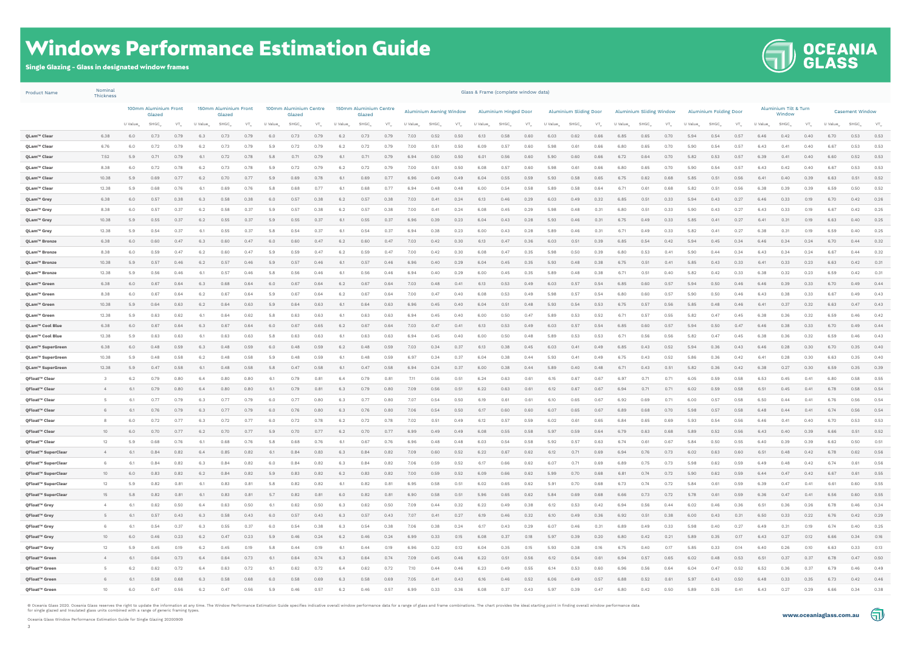



Oceania Glass Window Performance Estimation Guide for Single Glazing 20200909

### Windows Performance Estimation Guide

Single Glazing - Glass in designated window frames

Product Name Nominal

| <b>Product Name</b>                      | <b>Thickness</b> |                      |                                 |              |                                 |              |              |                                  |                   |                   | Glass & Frame (complete window data) |                   |               |                         |              |                       |              |                   |                        |              |              |                          |                     |              |                               |              |              |              |                                 |                       |                        |              |              |                          |
|------------------------------------------|------------------|----------------------|---------------------------------|--------------|---------------------------------|--------------|--------------|----------------------------------|-------------------|-------------------|--------------------------------------|-------------------|---------------|-------------------------|--------------|-----------------------|--------------|-------------------|------------------------|--------------|--------------|--------------------------|---------------------|--------------|-------------------------------|--------------|--------------|--------------|---------------------------------|-----------------------|------------------------|--------------|--------------|--------------------------|
|                                          |                  |                      | 100mm Aluminium Front<br>Glazed |              | 150mm Aluminium Front<br>Glazed |              |              | 100mm Aluminium Centre<br>Glazed |                   |                   | 150mm Aluminium Centre<br>Glazed     |                   |               | Aluminium Awning Window |              | Aluminium Hinged Door |              |                   | Aluminium Sliding Door |              |              | Aluminium Sliding Window |                     |              | <b>Aluminium Folding Door</b> |              |              |              | Aluminium Tilt & Turn<br>Window |                       | <b>Casement Window</b> |              |              |                          |
|                                          |                  | U Value <sub>w</sub> | SHGC <sub>w</sub>               | $VT_w$       | U Value                         | SHGC_        | $VT_w$       | U Value                          | SHGC <sub>w</sub> | $VT_{\mathrm{w}}$ | U Value                              | SHGC <sub>w</sub> | $VT_{\omega}$ | U Value                 | SHGC         | $VT_{w}$              | U Value      | SHGC <sub>w</sub> | $VT_{w}$               | U Value      | $SHGC_{w}$   | $VT_{\mathrm{w}}$        | U Value <sub></sub> | $SHGC_{w}$   | $VT_{\mathrm{w}}$             | U Value      | $SHGC_{w}$   | VT.          | U Value                         | $SHGC_{\tiny \omega}$ | $VT_{\cdot\cdot\cdot}$ | U Value      | $SHGC_{w}$   | $\mathsf{VT}_\mathsf{w}$ |
| QLam™ Clear                              | 6.38             | 6.0                  | 0.73                            | 0.79         | 6.3                             | 0.73         | 0.79         | 6.0                              | 0.73              | 0.79              | 6.2                                  | 0.73              | 0.79          | 7.03                    | 0.52         | 0.50                  | 6.13         | 0.58              | 0.60                   | 6.03         | 0.62         | 0.66                     | 6.85                | 0.65         | 0.70                          | 5.94         | 0.54         | 0.57         | 6.46                            | 0.42                  | 0.40                   | 6.70         | 0.53         | 0.53                     |
| QLam™ Clear                              | 6.76             | 6.0                  | 0.72                            | 0.79         | 6.2                             | 0.73         | 0.79         | 5.9                              | 0.72              | 0.79              | 6.2                                  | 0.72              | 0.79          | 7.00                    | 0.51         | 0.50                  | 6.09         | 0.57              | 0.60                   | 5.98         | 0.61         | 0.66                     | 6.80                | 0.65         | 0.70                          | 5.90         | 0.54         | 0.57         | 6.43                            | 0.41                  | 0.40                   | 6.67         | 0.53         | 0.53                     |
| QLam™ Clear                              | 7.52             | 5.9                  | 0.71                            | 0.79         | 6.1                             | 0.72         | 0.78         | 5.8                              | 0.71              | 0.79              | 6.1                                  | 0.71              | 0.79          | 6.94                    | 0.50         | 0.50                  | 6.01         | 0.56              | 0.60                   | 5.90         | 0.60         | 0.66                     | 6.72                | 0.64         | 0.70                          | 5.82         | 0.53         | 0.57         | 6.39                            | 0.41                  | 0.40                   | 6.60         | 0.52         | 0.53                     |
| QLam™ Clear                              | 8.38             | 6.0                  | 0.72                            | 0.78         | 6.2                             | 0.73         | 0.78         | 5.9                              | 0.72              | 0.79              | 6.2                                  | 0.72              | 0.79          | 7.00                    | 0.51         | 0.50                  | 6.08         | 0.57              | 0.60                   | 5.98         | 0.61         | 0.66                     | 6.80                | 0.65         | 0.70                          | 5.90         | 0.54         | 0.57         | 6.43                            | 0.42                  | 0.40                   | 6.67         | 0.53         | 0.53                     |
| QLam™ Clear                              | 10.38            | 5.9                  | 0.69                            | 0.77         | 6.2                             | 0.70         | 0.77         | 5.9                              | 0.69              | 0.78              | 6.1                                  | 0.69              | 0.77          | 6.96                    | 0.49         | 0.49                  | 6.04         | 0.55              | 0.59                   | 5.93         | 0.58         | 0.65                     | 6.75                | 0.62         | 0.68                          | 5.85         | 0.51         | 0.56         | 6.41                            | 0.40                  | 0.39                   | 6.63         | 0.51         | 0.52                     |
| QLam™ Clear                              | 12.38            | 5.9                  | 0.68                            | 0.76         | 6.1                             | 0.69         | 0.76         | 5.8                              | 0.68              | 0.77              | 6.1                                  | 0.68              | 0.77          | 6.94                    | 0.48         | 0.48                  | 6.00         | 0.54              | 0.58                   | 5.89         | 0.58         | 0.64                     | 6.71                | 0.61         | 0.68                          | 5.82         | 0.51         | 0.56         | 6.38                            | 0.39                  | 0.39                   | 6.59         | 0.50         | 0.52                     |
| QLam™ Grey                               | 6.38             | 6.0                  | 0.57                            | 0.38         | 6.3                             | 0.58         | 0.38         | 6.0                              | 0.57              | 0.38              | 6.2                                  | 0.57              | 0.38          | 7.03                    | 0.41         | 0.24                  | 6.13         | 0.46              | 0.29                   | 6.03         | 0.49         | 0.32                     | 6.85                | 0.51         | 0.33                          | 5.94         | 0.43         | 0.27         | 6.46                            | 0.33                  | 0.19                   | 6.70         | 0.42         | 0.26                     |
| QLam™ Grey                               | 8.38             | 6.0                  | 0.57                            | 0.37         | 6.2                             | 0.58         | 0.37         | 5.9                              | 0.57              | 0.38              | 6.2                                  | 0.57              | 0.38          | 7.00                    | 0.41         | 0.24                  | 6.08         | 0.45              | 0.29                   | 5.98         | 0.48         | 0.31                     | 6.80                | 0.51         | 0.33                          | 5.90         | 0.43         | 0.27         | 6.43                            | 0.33                  | 0.19                   | 6.67         | 0.42         | 0.25                     |
| QLam™ Grey                               | 10.38            | 5.9                  | 0.55<br>0.54                    | 0.37<br>0.37 | 6.2                             | 0.55         | 0.37<br>0.37 | 5.9<br>5.8                       | 0.55<br>0.54      | 0.37<br>0.37      | 6.1<br>6.1                           | 0.55<br>0.54      | 0.37<br>0.37  | 6.96<br>6.94            | 0.39         | 0.23<br>0.23          | 6.04<br>6.00 | 0.43              | 0.28                   | 5.93         | 0.46         | 0.31                     | 6.75<br>6.71        | 0.49<br>0.49 | 0.33<br>0.33                  | 5.85<br>5.82 | 0.41<br>0.41 | 0.27         | 6.41<br>6.38                    | 0.31                  | 0.19<br>0.19           | 6.63<br>6.59 | 0.40<br>0.40 | 0.25<br>0.25             |
| QLam™ Grey<br>QLam™ Bronze               | 12.38<br>6.38    | 5.9<br>6.0           | 0.60                            | 0.47         | 6.1<br>6.3                      | 0.55<br>0.60 | 0.47         | 6.0                              | 0.60              | 0.47              | 6.2                                  | 0.60              | 0.47          | 7.03                    | 0.38<br>0.42 | 0.30                  | 6.13         | 0.43<br>0.47      | 0.28<br>0.36           | 5.89<br>6.03 | 0.46<br>0.51 | 0.31<br>0.39             | 6.85                | 0.54         | 0.42                          | 5.94         | 0.45         | 0.27<br>0.34 | 6.46                            | 0.31<br>0.34          | 0.24                   | 6.70         | 0.44         | 0.32                     |
| QLam™ Bronze                             | 8.38             | 6.0                  | 0.59                            | 0.47         | 6.2                             | 0.60         | 0.47         | 5.9                              | 0.59              | 0.47              | 6.2                                  | 0.59              | 0.47          | 7.00                    | 0.42         | 0.30                  | 6.08         | 0.47              | 0.35                   | 5.98         | 0.50         | 0.39                     | 6.80                | 0.53         | 0.41                          | 5.90         | 0.44         | 0.34         | 6.43                            | 0.34                  | 0.24                   | 6.67         | 0.44         | 0.32                     |
| QLam™ Bronze                             | 10.38            | 5.9                  | 0.57                            | 0.46         | 6.2                             | 0.57         | 0.46         | 5.9                              | 0.57              | 0.46              | 6.1                                  | 0.57              | 0.46          | 6.96                    | 0.40         | 0.29                  | 6.04         | 0.45              | 0.35                   | 5.93         | 0.48         | 0.38                     | 6.75                | 0.51         | 0.41                          | 5.85         | 0.43         | 0.33         | 6.41                            | 0.33                  | 0.23                   | 6.63         | 0.42         | 0.31                     |
| QLam™ Bronze                             | 12.38            | 5.9                  | 0.56                            | 0.46         | 6.1                             | 0.57         | 0.46         | 5.8                              | 0.56              | 0.46              | 6.1                                  | 0.56              | 0.46          | 6.94                    | 0.40         | 0.29                  | 6.00         | 0.45              | 0.35                   | 5.89         | 0.48         | 0.38                     | 6.71                | 0.51         | 0.40                          | 5.82         | 0.42         | 0.33         | 6.38                            | 0.32                  | 0.23                   | 6.59         | 0.42         | 0.31                     |
| QLam™ Green                              | 6.38             | 6.0                  | 0.67                            | 0.64         | 6.3                             | 0.68         | 0.64         | 6.0                              | 0.67              | 0.64              | 6.2                                  | 0.67              | 0.64          | 7.03                    | 0.48         | 0.41                  | 6.13         | 0.53              | 0.49                   | 6.03         | 0.57         | 0.54                     | 6.85                | 0.60         | 0.57                          | 5.94         | 0.50         | 0.46         | 6.46                            | 0.39                  | 0.33                   | 6.70         | 0.49         | 0.44                     |
| QLam™ Green                              | 8.38             | 6.0                  | 0.67                            | 0.64         | 6.2                             | 0.67         | 0.64         | 5.9                              | 0.67              | 0.64              | 6.2                                  | 0.67              | 0.64          | 7.00                    | 0.47         | 0.40                  | 6.08         | 0.53              | 0.49                   | 5.98         | 0.57         | 0.54                     | 6.80                | 0.60         | 0.57                          | 5.90         | 0.50         | 0.46         | 6.43                            | 0.38                  | 0.33                   | 6.67         | 0.49         | 0.43                     |
| QLam™ Green                              | 10.38            | 5.9                  | 0.64                            | 0.63         | 6.2                             | 0.64         | 0.63         | 5.9                              | 0.64              | 0.63              | 6.1                                  | 0.64              | 0.63          | 6.96                    | 0.45         | 0.40                  | 6.04         | 0.51              | 0.48                   | 5.93         | 0.54         | 0.53                     | 6.75                | 0.57         | 0.56                          | 5.85         | 0.48         | 0.46         | 6.41                            | 0.37                  | 0.32                   | 6.63         | 0.47         | 0.43                     |
| QLam™ Green                              | 12.38            | 5.9                  | 0.63                            | 0.62         | 6.1                             | 0.64         | 0.62         | 5.8                              | 0.63              | 0.63              | 6.1                                  | 0.63              | 0.63          | 6.94                    | 0.45         | 0.40                  | 6.00         | 0.50              | 0.47                   | 5.89         | 0.53         | 0.52                     | 6.71                | 0.57         | 0.55                          | 5.82         | 0.47         | 0.45         | 6.38                            | 0.36                  | 0.32                   | 6.59         | 0.46         | 0.42                     |
| QLam™ Cool Blue                          | 6.38             | 6.0                  | 0.67                            | 0.64         | 6.3                             | 0.67         | 0.64         | 6.0                              | 0.67              | 0.65              | 6.2                                  | 0.67              | 0.64          | 7.03                    | 0.47         | 0.41                  | 6.13         | 0.53              | 0.49                   | 6.03         | 0.57         | 0.54                     | 6.85                | 0.60         | 0.57                          | 5.94         | 0.50         | 0.47         | 6.46                            | 0.38                  | 0.33                   | 6.70         | 0.49         | 0.44                     |
| QLam™ Cool Blue                          | 12.38            | 5.9                  | 0.63                            | 0.63         | 6.1                             | 0.63         | 0.63         | 5.8                              | 0.63              | 0.63              | 6.1                                  | 0.63              | 0.63          | 6.94                    | 0.45         | 0.40                  | 6.00         | 0.50              | 0.48                   | 5.89         | 0.53         | 0.53                     | 6.71                | 0.56         | 0.56                          | 5.82         | 0.47         | 0.45         | 6.38                            | 0.36                  | 0.32                   | 6.59         | 0.46         | 0.43                     |
| QLam™ SuperGreen                         | 6.38             | 6.0                  | 0.48                            | 0.59         | 6.3                             | 0.48         | 0.59         | 6.0                              | 0.48              | 0.59              | 6.2                                  | 0.48              | 0.59          | 7.03                    | 0.34         | 0.37                  | 6.13         | 0.38              | 0.45                   | 6.03         | 0.41         | 0.49                     | 6.85                | 0.43         | 0.52                          | 5.94         | 0.36         | 0.43         | 6.46                            | 0.28                  | 0.30                   | 6.70         | 0.35         | 0.40                     |
| QLam™ SuperGreen                         | 10.38            | 5.9                  | 0.48                            | 0.58         | 6.2                             | 0.48         | 0.58         | 5.9                              | 0.48              | 0.59              | 6.1                                  | 0.48              | 0.59          | 6.97                    | 0.34         | 0.37                  | 6.04         | 0.38              | 0.44                   | 5.93         | 0.41         | 0.49                     | 6.75                | 0.43         | 0.52                          | 5.86         | 0.36         | 0.42         | 6.41                            | 0.28                  | 0.30                   | 6.63         | 0.35         | 0.40                     |
| QLam™ SuperGreen                         | 12.38            | 5.9                  | 0.47                            | 0.58         | 6.1                             | 0.48         | 0.58         | 5.8                              | 0.47              | 0.58              | 6.1                                  | 0.47              | 0.58          | 6.94                    | 0.34         | 0.37                  | 6.00         | 0.38              | 0.44                   | 5.89         | 0.40         | 0.48                     | 6.71                | 0.43         | 0.51                          | 5.82         | 0.36         | 0.42         | 6.38                            | 0.27                  | 0.30                   | 6.59         | 0.35         | 0.39                     |
| QFloat™ Clear                            | $\mathcal{E}$    | 6.2                  | 0.79                            | 0.80         | 6.4                             | 0.80         | 0.80         | 6.1                              | 0.79              | 0.81              | 6.4                                  | 0.79              | 0.81          | 7.11                    | 0.56         | 0.51                  | 6.24         | 0.63              | 0.61                   | 6.15         | 0.67         | 0.67                     | 6.97                | 0.71         | 0.71                          | 6.05         | 0.59         | 0.58         | 6.53                            | 0.45                  | 0.41                   | 6.80         | 0.58         | 0.55                     |
| QFloat™ Clear                            | $\overline{4}$   | 6.1                  | 0.79                            | 0.80         | 6.4                             | 0.80         | 0.80         | 6.1                              | 0.79              | 0.81              | 6.3                                  | 0.79              | 0.80          | 7.09                    | 0.56         | 0.51                  | 6.22         | 0.63              | 0.61                   | 6.12         | 0.67         | 0.67                     | 6.94                | 0.71         | 0.71                          | 6.02         | 0.59         | 0.58         | 6.51                            | 0.45                  | 0.41                   | 6.78         | 0.58         | 0.54                     |
| QFloat™ Clear                            | - 5              | 6.1                  | 0.77                            | 0.79         | 6.3                             | 0.77         | 0.79         | 6.0                              | 0.77              | 0.80              | 6.3                                  | 0.77              | 0.80          | 7.07                    | 0.54         | 0.50                  | 6.19         | 0.61              | 0.61                   | 6.10         | 0.65         | 0.67                     | 6.92                | 0.69         | 0.71                          | 6.00         | 0.57         | 0.58         | 6.50                            | 0.44                  | 0.41                   | 6.76         | 0.56         | 0.54                     |
| QFloat™ Clear                            | 6                | 6.1                  | 0.76                            | 0.79         | 6.3                             | 0.77         | 0.79         | 6.0                              | 0.76              | 0.80              | 6.3                                  | 0.76              | 0.80          | 7.06                    | 0.54         | 0.50                  | 6.17         | 0.60              | 0.60                   | 6.07         | 0.65         | 0.67                     | 6.89                | 0.68         | 0.70                          | 5.98         | 0.57         | 0.58         | 6.48                            | 0.44                  | 0.41                   | 6.74         | 0.56         | 0.54                     |
| QFloat™ Clear                            | 8                | 6.0                  | 0.72                            | 0.77         | 6.3                             | 0.72         | 0.77         | 6.0                              | 0.72              | 0.78              | 6.2                                  | 0.72              | 0.78          | 7.02                    | 0.51         | 0.49                  | 6.12         | 0.57              | 0.59                   | 6.02         | 0.61         | 0.65                     | 6.84                | 0.65         | 0.69                          | 5.93         | 0.54         | 0.56         | 6.46                            | 0.41                  | 0.40                   | 6.70         | 0.53         | 0.53                     |
| QFloat™ Clear                            | 10               | 6.0                  | 0.70                            | 0.77         | 6.2                             | 0.70         | 0.77         | 5.9                              | 0.70              | 0.77              | 6.2                                  | 0.70              | 0.77          | 6.99                    | 0.49         | 0.49                  | 6.08         | 0.55              | 0.58                   | 5.97         | 0.59         | 0.64                     | 6.79                | 0.63         | 0.68                          | 5.89         | 0.52         | 0.56         | 6.43                            | 0.40                  | 0.39                   | 6.66         | 0.51         | 0.52                     |
| QFloat™ Clear                            | 12               | 5.9                  | 0.68                            | 0.76         | 6.1                             | 0.68         | 0.76         | 5.8                              | 0.68              | 0.76              | 6.1                                  | 0.67              | 0.76          | 6.96                    | 0.48         | 0.48                  | 6.03         | 0.54              | 0.58                   | 5.92         | 0.57         | 0.63                     | 6.74                | 0.61         | 0.67                          | 5.84         | 0.50         | 0.55         | 6.40                            | 0.39                  | 0.39                   | 6.62         | 0.50         | 0.51                     |
| QFloat™ SuperClear                       | 4                | 6.1                  | 0.84                            | 0.82         | 6.4                             | 0.85         | 0.82         | 6.1                              | 0.84              | 0.83              | 6.3                                  | 0.84              | 0.82          | 7.09                    | 0.60         | 0.52                  | 6.22         | 0.67              | 0.62                   | 6.12         | 0.71         | 0.69                     | 6.94                | 0.76         | 0.73                          | 6.02         | 0.63         | 0.60         | 6.51                            | 0.48                  | 0.42                   | 6.78         | 0.62         | 0.56                     |
| QFloat™ SuperClear<br>QFloat™ SuperClear | 6<br>10          | 6.1<br>6.0           | 0.84<br>0.83                    | 0.82<br>0.82 | 6.3                             | 0.84<br>0.84 | 0.82<br>0.82 | 6.0<br>5.9                       | 0.84<br>0.83      | 0.82<br>0.82      | 6.3<br>6.2                           | 0.84<br>0.83      | 0.82<br>0.82  | 7.06<br>7.00            | 0.59<br>0.59 | 0.52<br>0.52          | 6.17<br>6.09 | 0.66<br>0.66      | 0.62<br>0.62           | 6.07<br>5.99 | 0.71<br>0.70 | 0.69<br>0.68             | 6.89<br>6.81        | 0.75<br>0.74 | 0.73<br>0.72                  | 5.98<br>5.90 | 0.62<br>0.62 | 0.59<br>0.59 | 6.49<br>6.44                    | 0.48<br>0.47          | 0.42<br>0.42           | 6.74<br>6.67 | 0.61<br>0.61 | 0.56<br>0.55             |
| QFloat™ SuperClear                       | 12               | 5.9                  | 0.82                            | 0.81         | 6.2<br>6.1                      | 0.83         | 0.81         | 5.8                              | 0.82              | 0.82              | 6.1                                  | 0.82              | 0.81          | 6.95                    | 0.58         | 0.51                  | 6.02         | 0.65              | 0.62                   | 5.91         | 0.70         | 0.68                     | 6.73                | 0.74         | 0.72                          | 5.84         | 0.61         | 0.59         | 6.39                            | 0.47                  | 0.41                   | 6.61         | 0.60         | 0.55                     |
| QFloat™ SuperClear                       | 15               | 5.8                  | 0.82                            | 0.81         | 6.1                             | 0.83         | 0.81         | 5.7                              | 0.82              | 0.81              | 6.0                                  | 0.82              | 0.81          | 6.90                    | 0.58         | 0.51                  | 5.96         | 0.65              | 0.62                   | 5.84         | 0.69         | 0.68                     | 6.66                | 0.73         | 0.72                          | 5.78         | 0.61         | 0.59         | 6.36                            | 0.47                  | 0.41                   | 6.56         | 0.60         | 0.55                     |
| QFloat™ Grey                             | 4                | 6.1                  | 0.62                            | 0.50         | 6.4                             | 0.63         | 0.50         | 6.1                              | 0.62              | 0.50              | 6.3                                  | 0.62              | 0.50          | 7.09                    | 0.44         | 0.32                  | 6.22         | 0.49              | 0.38                   | 6.12         | 0.53         | 0.42                     | 6.94                | 0.56         | 0.44                          | 6.02         | 0.46         | 0.36         | 6.51                            | 0.36                  | 0.26                   | 6.78         | 0.46         | 0.34                     |
| QFloat™ Grey                             | 5                | 6.1                  | 0.57                            | 0.43         | 6.3                             | 0.58         | 0.43         | 6.0                              | 0.57              | 0.43              | 6.3                                  | 0.57              | 0.43          | 7.07                    | 0.41         | 0.27                  | 6.19         | 0.46              | 0.32                   | 6.10         | 0.49         | 0.36                     | 6.92                | 0.51         | 0.38                          | 6.00         | 0.43         | 0.31         | 6.50                            | 0.33                  | 0.22                   | 6.76         | 0.42         | 0.29                     |
| QFloat™ Grey                             | 6                | 6.1                  | 0.54                            | 0.37         | 6.3                             | 0.55         | 0.37         | 6.0                              | 0.54              | 0.38              | 6.3                                  | 0.54              | 0.38          | 7.06                    | 0.38         | 0.24                  | 6.17         | 0.43              | 0.29                   | 6.07         | 0.46         | 0.31                     | 6.89                | 0.49         | 0.33                          | 5.98         | 0.40         | 0.27         | 6.49                            | 0.31                  | 0.19                   | 6.74         | 0.40         | 0.25                     |
| QFloat™ Grey                             | 10               | 6.0                  | 0.46                            | 0.23         | 6.2                             | 0.47         | 0.23         | 5.9                              | 0.46              | 0.24              | 6.2                                  | 0.46              | 0.24          | 6.99                    | 0.33         | 0.15                  | 6.08         | 0.37              | 0.18                   | 5.97         | 0.39         | 0.20                     | 6.80                | 0.42         | 0.21                          | 5.89         | 0.35         | 0.17         | 6.43                            | 0.27                  | 0.12                   | 6.66         | 0.34         | 0.16                     |
| QFloat™ Grey                             | 12               | 5.9                  | 0.45                            | 0.19         | 6.2                             | 0.45         | 0.19         | 5.8                              | 0.44              | 0.19              | 6.1                                  | 0.44              | 0.19          | 6.96                    | 0.32         | 0.12                  | 6.04         | 0.35              | 0.15                   | 5.93         | 0.38         | 0.16                     | 6.75                | 0.40         | 0.17                          | 5.85         | 0.33         | 0.14         | 6.40                            | 0.26                  | 0.10                   | 6.63         | 0.33         | 0.13                     |
| QFloat™ Green                            | 4                | 6.1                  | 0.64                            | 0.73         | 6.4                             | 0.64         | 0.73         | 6.1                              | 0.64              | 0.74              | 6.3                                  | 0.64              | 0.74          | 7.09                    | 0.45         | 0.46                  | 6.22         | 0.51              | 0.56                   | 6.12         | 0.54         | 0.61                     | 6.94                | 0.57         | 0.65                          | 6.02         | 0.48         | 0.53         | 6.51                            | 0.37                  | 0.37                   | 6.78         | 0.47         | 0.50                     |
| QFloat™ Green                            | 5                | 6.2                  | 0.62                            | 0.72         | 6.4                             | 0.63         | 0.72         | 6.1                              | 0.62              | 0.72              | 6.4                                  | 0.62              | 0.72          | 7.10                    | 0.44         | 0.46                  | 6.23         | 0.49              | 0.55                   | 6.14         | 0.53         | 0.60                     | 6.96                | 0.56         | 0.64                          | 6.04         | 0.47         | 0.52         | 6.52                            | 0.36                  | 0.37                   | 6.79         | 0.46         | 0.49                     |
| QFloat™ Green                            | 6                | 6.1                  | 0.58                            | 0.68         | 6.3                             | 0.58         | 0.68         | 6.0                              | 0.58              | 0.69              | 6.3                                  | 0.58              | 0.69          | 7.05                    | 0.41         | 0.43                  | 6.16         | 0.46              | 0.52                   | 6.06         | 0.49         | 0.57                     | 6.88                | 0.52         | 0.61                          | 5.97         | 0.43         | 0.50         | 6.48                            | 0.33                  | 0.35                   | 6.73         | 0.42         | 0.46                     |
| QFloat™ Green                            | 10               | 6.0                  | 0.47                            | 0.56         | 6.2                             | 0.47         | 0.56         | 5.9                              | 0.46              | 0.57              | 6.2                                  | 0.46              | 0.57          | 6.99                    | 0.33         | 0.36                  | 6.08         | 0.37              | 0.43                   | 5.97         | 0.39         | 0.47                     | 6.80                | 0.42         | 0.50                          | 5.89         | 0.35         | 0.41         | 6.43                            | 0.27                  | 0.29                   | 6.66         | 0.34         | 0.38                     |
|                                          |                  |                      |                                 |              |                                 |              |              |                                  |                   |                   |                                      |                   |               |                         |              |                       |              |                   |                        |              |              |                          |                     |              |                               |              |              |              |                                 |                       |                        |              |              |                          |

© Oceania Glass 2020. Oceania Glass reserves the right to update the information at any time. The Window Performance Estimation Guide specifies indicative overall window performance data for a range of glass and frame comb